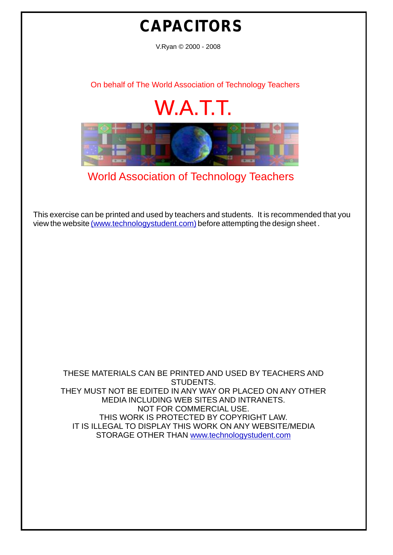